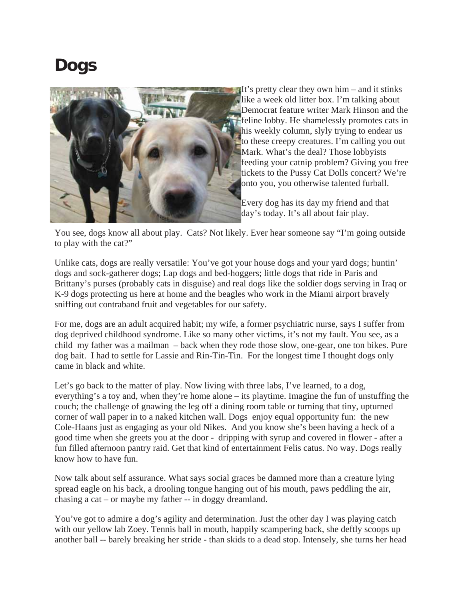## **Dogs**



You see, dogs know all about play. Cats? Not likely. Ever hear someone say "I'm going outside to play with the cat?"

Unlike cats, dogs are really versatile: You've got your house dogs and your yard dogs; huntin' dogs and sock-gatherer dogs; Lap dogs and bed-hoggers; little dogs that ride in Paris and Brittany's purses (probably cats in disguise) and real dogs like the soldier dogs serving in Iraq or K-9 dogs protecting us here at home and the beagles who work in the Miami airport bravely sniffing out contraband fruit and vegetables for our safety.

For me, dogs are an adult acquired habit; my wife, a former psychiatric nurse, says I suffer from dog deprived childhood syndrome. Like so many other victims, it's not my fault. You see, as a child my father was a mailman – back when they rode those slow, one-gear, one ton bikes. Pure dog bait. I had to settle for Lassie and Rin-Tin-Tin. For the longest time I thought dogs only came in black and white.

Let's go back to the matter of play. Now living with three labs, I've learned, to a dog, everything's a toy and, when they're home alone – its playtime. Imagine the fun of unstuffing the couch; the challenge of gnawing the leg off a dining room table or turning that tiny, upturned corner of wall paper in to a naked kitchen wall. Dogs enjoy equal opportunity fun: the new Cole-Haans just as engaging as your old Nikes. And you know she's been having a heck of a good time when she greets you at the door - dripping with syrup and covered in flower - after a fun filled afternoon pantry raid. Get that kind of entertainment Felis catus. No way. Dogs really know how to have fun.

Now talk about self assurance. What says social graces be damned more than a creature lying spread eagle on his back, a drooling tongue hanging out of his mouth, paws peddling the air, chasing a cat – or maybe my father -- in doggy dreamland.

You've got to admire a dog's agility and determination. Just the other day I was playing catch with our yellow lab Zoey. Tennis ball in mouth, happily scampering back, she deftly scoops up another ball -- barely breaking her stride - than skids to a dead stop. Intensely, she turns her head